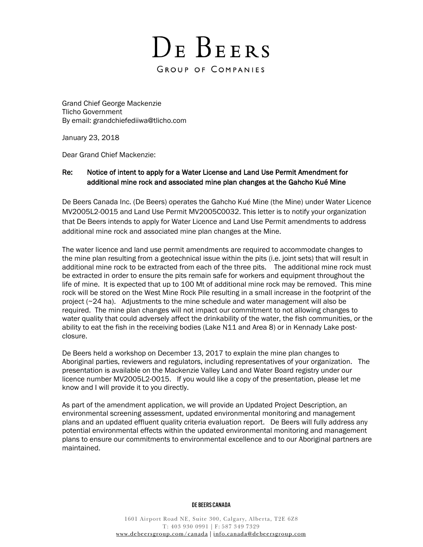Grand Chief George Mackenzie Tlicho Government By email: [grandchiefediiwa@tlicho.com](mailto:grandchiefediiwa@tlicho.com)

January 23, 2018

Dear Grand Chief Mackenzie:

# Re: Notice of intent to apply for a Water License and Land Use Permit Amendment for additional mine rock and associated mine plan changes at the Gahcho Kué Mine

De Beers Canada Inc. (De Beers) operates the Gahcho Kué Mine (the Mine) under Water Licence MV2005L2-0015 and Land Use Permit MV2005C0032. This letter is to notify your organization that De Beers intends to apply for Water Licence and Land Use Permit amendments to address additional mine rock and associated mine plan changes at the Mine.

The water licence and land use permit amendments are required to accommodate changes to the mine plan resulting from a geotechnical issue within the pits (i.e. joint sets) that will result in additional mine rock to be extracted from each of the three pits. The additional mine rock must be extracted in order to ensure the pits remain safe for workers and equipment throughout the life of mine. It is expected that up to 100 Mt of additional mine rock may be removed. This mine rock will be stored on the West Mine Rock Pile resulting in a small increase in the footprint of the project (~24 ha). Adjustments to the mine schedule and water management will also be required. The mine plan changes will not impact our commitment to not allowing changes to water quality that could adversely affect the drinkability of the water, the fish communities, or the ability to eat the fish in the receiving bodies (Lake N11 and Area 8) or in Kennady Lake postclosure.

De Beers held a workshop on December 13, 2017 to explain the mine plan changes to Aboriginal parties, reviewers and regulators, including representatives of your organization. The presentation is available on the Mackenzie Valley Land and Water Board registry under our licence number MV2005L2-0015. If you would like a copy of the presentation, please let me know and I will provide it to you directly.

As part of the amendment application, we will provide an Updated Project Description, an environmental screening assessment, updated environmental monitoring and management plans and an updated effluent quality criteria evaluation report. De Beers will fully address any potential environmental effects within the updated environmental monitoring and management plans to ensure our commitments to environmental excellence and to our Aboriginal partners are maintained.

## DE BEERS CANADA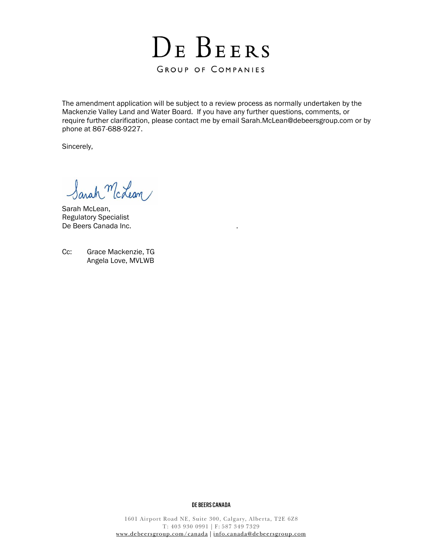

The amendment application will be subject to a review process as normally undertaken by the Mackenzie Valley Land and Water Board. If you have any further questions, comments, or require further clarification, please contact me by email [Sarah.McLean@debeersgroup.com](mailto:Sarah.McLean@debeersgroup.com) or by phone at 867-688-9227.

Sincerely,

Sarah McLean/

Sarah McLean, Regulatory Specialist De Beers Canada Inc.

Cc: Grace Mackenzie, TG Angela Love, MVLWB

#### DE BEERS CANADA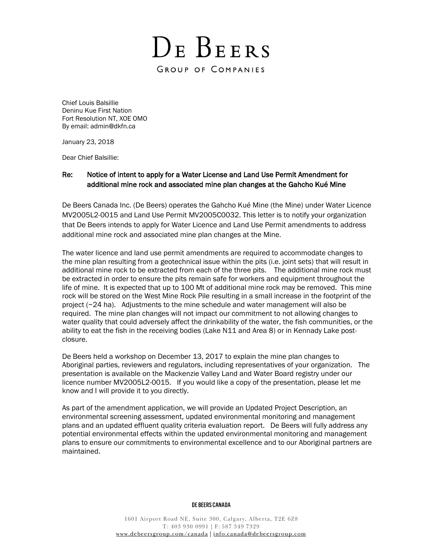Chief Louis Balsillie Deninu Kue First Nation Fort Resolution NT, XOE OMO By email: admin@dkfn.ca

January 23, 2018

Dear Chief Balsillie:

# Re: Notice of intent to apply for a Water License and Land Use Permit Amendment for additional mine rock and associated mine plan changes at the Gahcho Kué Mine

De Beers Canada Inc. (De Beers) operates the Gahcho Kué Mine (the Mine) under Water Licence MV2005L2-0015 and Land Use Permit MV2005C0032. This letter is to notify your organization that De Beers intends to apply for Water Licence and Land Use Permit amendments to address additional mine rock and associated mine plan changes at the Mine.

The water licence and land use permit amendments are required to accommodate changes to the mine plan resulting from a geotechnical issue within the pits (i.e. joint sets) that will result in additional mine rock to be extracted from each of the three pits. The additional mine rock must be extracted in order to ensure the pits remain safe for workers and equipment throughout the life of mine. It is expected that up to 100 Mt of additional mine rock may be removed. This mine rock will be stored on the West Mine Rock Pile resulting in a small increase in the footprint of the project (~24 ha). Adjustments to the mine schedule and water management will also be required. The mine plan changes will not impact our commitment to not allowing changes to water quality that could adversely affect the drinkability of the water, the fish communities, or the ability to eat the fish in the receiving bodies (Lake N11 and Area 8) or in Kennady Lake postclosure.

De Beers held a workshop on December 13, 2017 to explain the mine plan changes to Aboriginal parties, reviewers and regulators, including representatives of your organization. The presentation is available on the Mackenzie Valley Land and Water Board registry under our licence number MV2005L2-0015. If you would like a copy of the presentation, please let me know and I will provide it to you directly.

As part of the amendment application, we will provide an Updated Project Description, an environmental screening assessment, updated environmental monitoring and management plans and an updated effluent quality criteria evaluation report. De Beers will fully address any potential environmental effects within the updated environmental monitoring and management plans to ensure our commitments to environmental excellence and to our Aboriginal partners are maintained.

## DE BEERS CANADA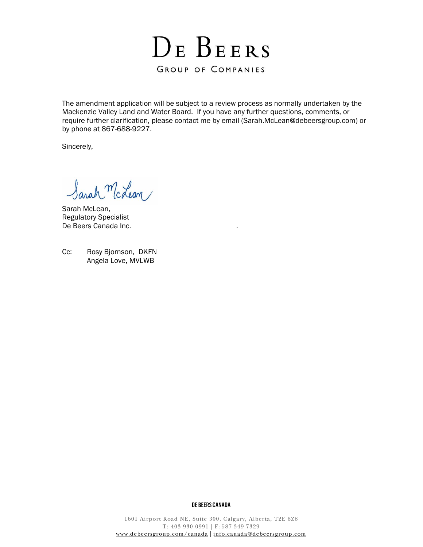

The amendment application will be subject to a review process as normally undertaken by the Mackenzie Valley Land and Water Board. If you have any further questions, comments, or require further clarification, please contact me by email [\(Sarah.McLean@debeersgroup.com\)](mailto:Sarah.McLean@debeersgroup.com) or by phone at 867-688-9227.

Sincerely,

Sarah McLean/

Sarah McLean, Regulatory Specialist De Beers Canada Inc.

Cc: Rosy Bjornson, DKFN Angela Love, MVLWB

## DE BEERS CANADA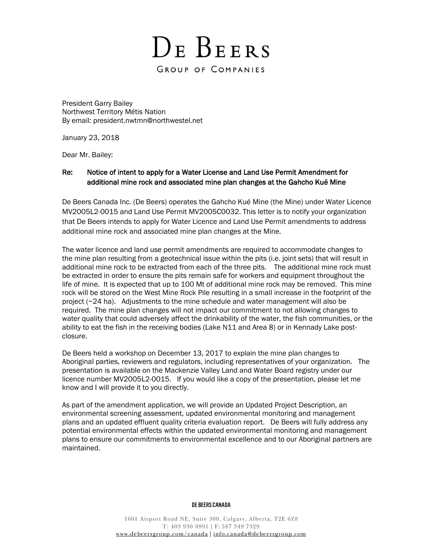President Garry Bailey Northwest Territory Métis Nation By email: president.nwtmn@northwestel.net

January 23, 2018

Dear Mr. Bailey:

# Re: Notice of intent to apply for a Water License and Land Use Permit Amendment for additional mine rock and associated mine plan changes at the Gahcho Kué Mine

De Beers Canada Inc. (De Beers) operates the Gahcho Kué Mine (the Mine) under Water Licence MV2005L2-0015 and Land Use Permit MV2005C0032. This letter is to notify your organization that De Beers intends to apply for Water Licence and Land Use Permit amendments to address additional mine rock and associated mine plan changes at the Mine.

The water licence and land use permit amendments are required to accommodate changes to the mine plan resulting from a geotechnical issue within the pits (i.e. joint sets) that will result in additional mine rock to be extracted from each of the three pits. The additional mine rock must be extracted in order to ensure the pits remain safe for workers and equipment throughout the life of mine. It is expected that up to 100 Mt of additional mine rock may be removed. This mine rock will be stored on the West Mine Rock Pile resulting in a small increase in the footprint of the project (~24 ha). Adjustments to the mine schedule and water management will also be required. The mine plan changes will not impact our commitment to not allowing changes to water quality that could adversely affect the drinkability of the water, the fish communities, or the ability to eat the fish in the receiving bodies (Lake N11 and Area 8) or in Kennady Lake postclosure.

De Beers held a workshop on December 13, 2017 to explain the mine plan changes to Aboriginal parties, reviewers and regulators, including representatives of your organization. The presentation is available on the Mackenzie Valley Land and Water Board registry under our licence number MV2005L2-0015. If you would like a copy of the presentation, please let me know and I will provide it to you directly.

As part of the amendment application, we will provide an Updated Project Description, an environmental screening assessment, updated environmental monitoring and management plans and an updated effluent quality criteria evaluation report. De Beers will fully address any potential environmental effects within the updated environmental monitoring and management plans to ensure our commitments to environmental excellence and to our Aboriginal partners are maintained.

## DE BEERS CANADA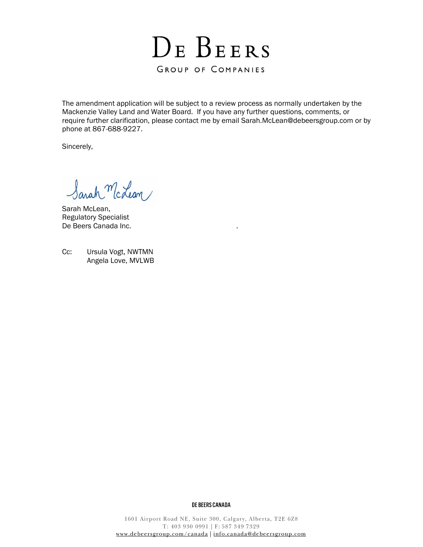

The amendment application will be subject to a review process as normally undertaken by the Mackenzie Valley Land and Water Board. If you have any further questions, comments, or require further clarification, please contact me by email [Sarah.McLean@debeersgroup.com](mailto:Sarah.McLean@debeersgroup.com) or by phone at 867-688-9227.

Sincerely,

Sarah McLean/

Sarah McLean, Regulatory Specialist De Beers Canada Inc.

Cc: Ursula Vogt, NWTMN Angela Love, MVLWB

#### DE BEERS CANADA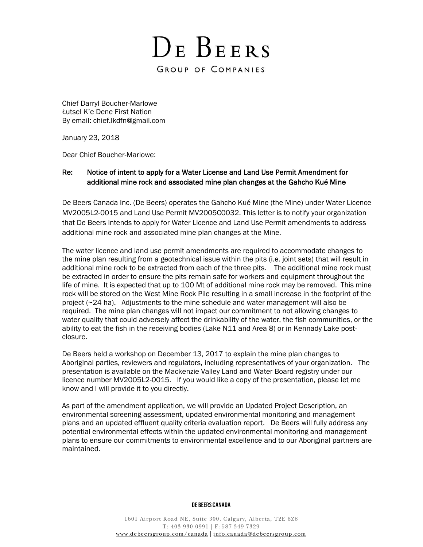Chief Darryl Boucher-Marlowe Łutsel K'e Dene First Nation By email: chief.lkdfn@gmail.com

January 23, 2018

Dear Chief Boucher-Marlowe:

# Re: Notice of intent to apply for a Water License and Land Use Permit Amendment for additional mine rock and associated mine plan changes at the Gahcho Kué Mine

De Beers Canada Inc. (De Beers) operates the Gahcho Kué Mine (the Mine) under Water Licence MV2005L2-0015 and Land Use Permit MV2005C0032. This letter is to notify your organization that De Beers intends to apply for Water Licence and Land Use Permit amendments to address additional mine rock and associated mine plan changes at the Mine.

The water licence and land use permit amendments are required to accommodate changes to the mine plan resulting from a geotechnical issue within the pits (i.e. joint sets) that will result in additional mine rock to be extracted from each of the three pits. The additional mine rock must be extracted in order to ensure the pits remain safe for workers and equipment throughout the life of mine. It is expected that up to 100 Mt of additional mine rock may be removed. This mine rock will be stored on the West Mine Rock Pile resulting in a small increase in the footprint of the project (~24 ha). Adjustments to the mine schedule and water management will also be required. The mine plan changes will not impact our commitment to not allowing changes to water quality that could adversely affect the drinkability of the water, the fish communities, or the ability to eat the fish in the receiving bodies (Lake N11 and Area 8) or in Kennady Lake postclosure.

De Beers held a workshop on December 13, 2017 to explain the mine plan changes to Aboriginal parties, reviewers and regulators, including representatives of your organization. The presentation is available on the Mackenzie Valley Land and Water Board registry under our licence number MV2005L2-0015. If you would like a copy of the presentation, please let me know and I will provide it to you directly.

As part of the amendment application, we will provide an Updated Project Description, an environmental screening assessment, updated environmental monitoring and management plans and an updated effluent quality criteria evaluation report. De Beers will fully address any potential environmental effects within the updated environmental monitoring and management plans to ensure our commitments to environmental excellence and to our Aboriginal partners are maintained.

## DE BEERS CANADA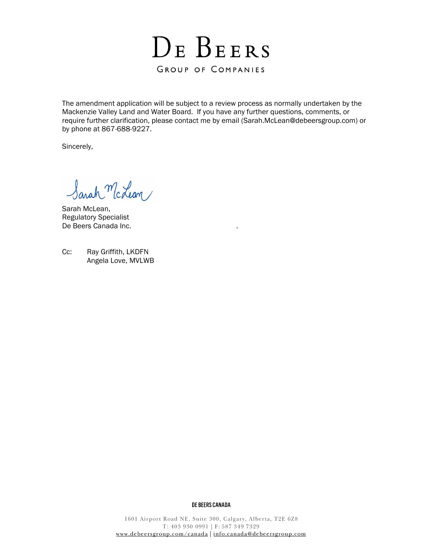

The amendment application will be subject to a review process as normally undertaken by the Mackenzie Valley Land and Water Board. If you have any further questions, comments, or require further clarification, please contact me by email [\(Sarah.McLean@debeersgroup.com\)](mailto:Sarah.McLean@debeersgroup.com) or by phone at 867-688-9227.

Sincerely,

Sarah McLean/

Sarah McLean, Regulatory Specialist De Beers Canada Inc.

Cc: Ray Griffith, LKDFN Angela Love, MVLWB

#### DE BEERS CANADA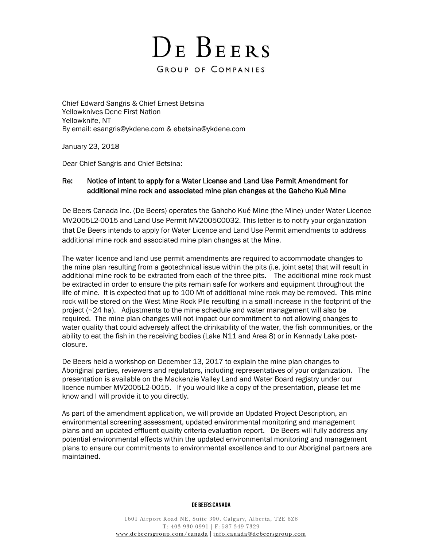# DE BEERS

# GROUP OF COMPANIES

Chief Edward Sangris & Chief Ernest Betsina Yellowknives Dene First Nation Yellowknife, NT By email: [esangris@ykdene.com](mailto:esangris@ykdene.com) & ebetsina@ykdene.com

January 23, 2018

Dear Chief Sangris and Chief Betsina:

# Re: Notice of intent to apply for a Water License and Land Use Permit Amendment for additional mine rock and associated mine plan changes at the Gahcho Kué Mine

De Beers Canada Inc. (De Beers) operates the Gahcho Kué Mine (the Mine) under Water Licence MV2005L2-0015 and Land Use Permit MV2005C0032. This letter is to notify your organization that De Beers intends to apply for Water Licence and Land Use Permit amendments to address additional mine rock and associated mine plan changes at the Mine.

The water licence and land use permit amendments are required to accommodate changes to the mine plan resulting from a geotechnical issue within the pits (i.e. joint sets) that will result in additional mine rock to be extracted from each of the three pits. The additional mine rock must be extracted in order to ensure the pits remain safe for workers and equipment throughout the life of mine. It is expected that up to 100 Mt of additional mine rock may be removed. This mine rock will be stored on the West Mine Rock Pile resulting in a small increase in the footprint of the project (~24 ha). Adjustments to the mine schedule and water management will also be required. The mine plan changes will not impact our commitment to not allowing changes to water quality that could adversely affect the drinkability of the water, the fish communities, or the ability to eat the fish in the receiving bodies (Lake N11 and Area 8) or in Kennady Lake postclosure.

De Beers held a workshop on December 13, 2017 to explain the mine plan changes to Aboriginal parties, reviewers and regulators, including representatives of your organization. The presentation is available on the Mackenzie Valley Land and Water Board registry under our licence number MV2005L2-0015. If you would like a copy of the presentation, please let me know and I will provide it to you directly.

As part of the amendment application, we will provide an Updated Project Description, an environmental screening assessment, updated environmental monitoring and management plans and an updated effluent quality criteria evaluation report. De Beers will fully address any potential environmental effects within the updated environmental monitoring and management plans to ensure our commitments to environmental excellence and to our Aboriginal partners are maintained.

## DE BEERS CANADA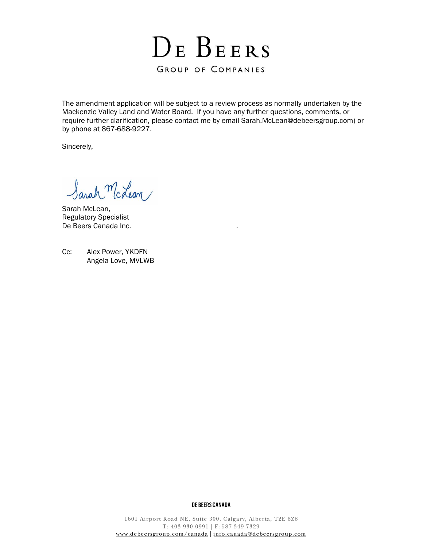

The amendment application will be subject to a review process as normally undertaken by the Mackenzie Valley Land and Water Board. If you have any further questions, comments, or require further clarification, please contact me by email [Sarah.McLean@debeersgroup.com\)](mailto:Sarah.McLean@debeersgroup.com) or by phone at 867-688-9227.

Sincerely,

Sarah McLean/

Sarah McLean, Regulatory Specialist De Beers Canada Inc.

Cc: Alex Power, YKDFN Angela Love, MVLWB

#### DE BEERS CANADA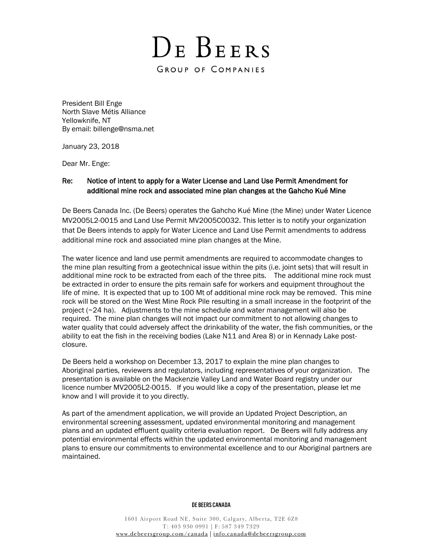DE BEERS

GROUP OF COMPANIES

President Bill Enge North Slave Métis Alliance Yellowknife, NT By email: billenge@nsma.net

January 23, 2018

Dear Mr. Enge:

# Re: Notice of intent to apply for a Water License and Land Use Permit Amendment for additional mine rock and associated mine plan changes at the Gahcho Kué Mine

De Beers Canada Inc. (De Beers) operates the Gahcho Kué Mine (the Mine) under Water Licence MV2005L2-0015 and Land Use Permit MV2005C0032. This letter is to notify your organization that De Beers intends to apply for Water Licence and Land Use Permit amendments to address additional mine rock and associated mine plan changes at the Mine.

The water licence and land use permit amendments are required to accommodate changes to the mine plan resulting from a geotechnical issue within the pits (i.e. joint sets) that will result in additional mine rock to be extracted from each of the three pits. The additional mine rock must be extracted in order to ensure the pits remain safe for workers and equipment throughout the life of mine. It is expected that up to 100 Mt of additional mine rock may be removed. This mine rock will be stored on the West Mine Rock Pile resulting in a small increase in the footprint of the project (~24 ha). Adjustments to the mine schedule and water management will also be required. The mine plan changes will not impact our commitment to not allowing changes to water quality that could adversely affect the drinkability of the water, the fish communities, or the ability to eat the fish in the receiving bodies (Lake N11 and Area 8) or in Kennady Lake postclosure.

De Beers held a workshop on December 13, 2017 to explain the mine plan changes to Aboriginal parties, reviewers and regulators, including representatives of your organization. The presentation is available on the Mackenzie Valley Land and Water Board registry under our licence number MV2005L2-0015. If you would like a copy of the presentation, please let me know and I will provide it to you directly.

As part of the amendment application, we will provide an Updated Project Description, an environmental screening assessment, updated environmental monitoring and management plans and an updated effluent quality criteria evaluation report. De Beers will fully address any potential environmental effects within the updated environmental monitoring and management plans to ensure our commitments to environmental excellence and to our Aboriginal partners are maintained.

## DE BEERS CANADA